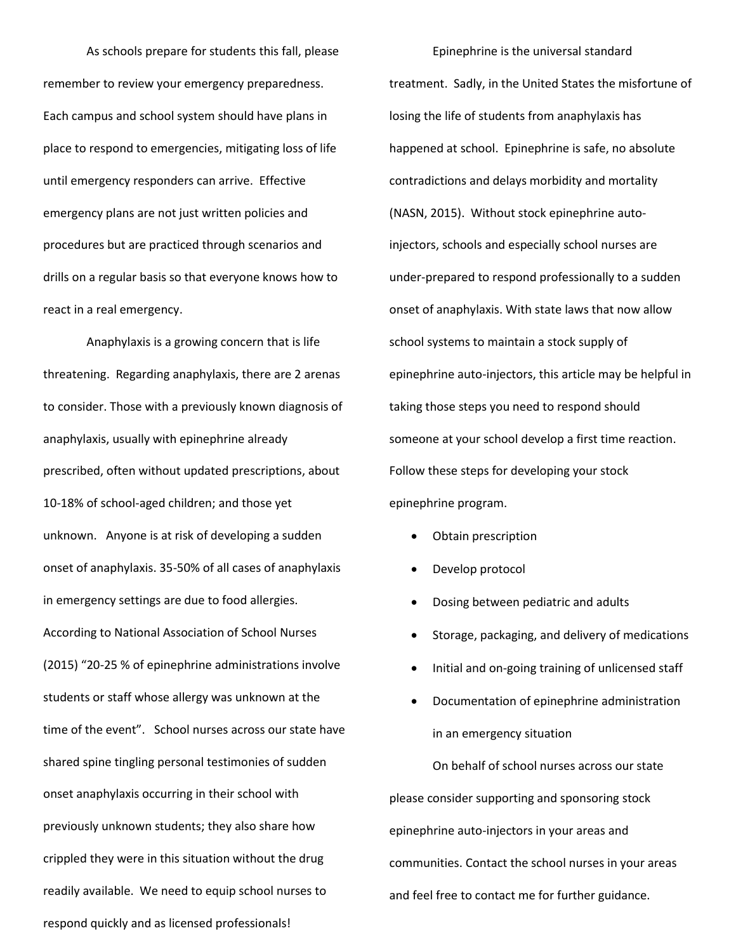As schools prepare for students this fall, please remember to review your emergency preparedness. Each campus and school system should have plans in place to respond to emergencies, mitigating loss of life until emergency responders can arrive. Effective emergency plans are not just written policies and procedures but are practiced through scenarios and drills on a regular basis so that everyone knows how to react in a real emergency.

Anaphylaxis is a growing concern that is life threatening. Regarding anaphylaxis, there are 2 arenas to consider. Those with a previously known diagnosis of anaphylaxis, usually with epinephrine already prescribed, often without updated prescriptions, about 10-18% of school-aged children; and those yet unknown. Anyone is at risk of developing a sudden onset of anaphylaxis. 35-50% of all cases of anaphylaxis in emergency settings are due to food allergies. According to National Association of School Nurses (2015) "20-25 % of epinephrine administrations involve students or staff whose allergy was unknown at the time of the event". School nurses across our state have shared spine tingling personal testimonies of sudden onset anaphylaxis occurring in their school with previously unknown students; they also share how crippled they were in this situation without the drug readily available. We need to equip school nurses to respond quickly and as licensed professionals!

Epinephrine is the universal standard treatment. Sadly, in the United States the misfortune of losing the life of students from anaphylaxis has happened at school. Epinephrine is safe, no absolute contradictions and delays morbidity and mortality (NASN, 2015). Without stock epinephrine autoinjectors, schools and especially school nurses are under-prepared to respond professionally to a sudden onset of anaphylaxis. With state laws that now allow school systems to maintain a stock supply of epinephrine auto-injectors, this article may be helpful in taking those steps you need to respond should someone at your school develop a first time reaction. Follow these steps for developing your stock epinephrine program.

- Obtain prescription
- Develop protocol
- Dosing between pediatric and adults
- Storage, packaging, and delivery of medications
- Initial and on-going training of unlicensed staff
- Documentation of epinephrine administration in an emergency situation

On behalf of school nurses across our state please consider supporting and sponsoring stock epinephrine auto-injectors in your areas and communities. Contact the school nurses in your areas and feel free to contact me for further guidance.